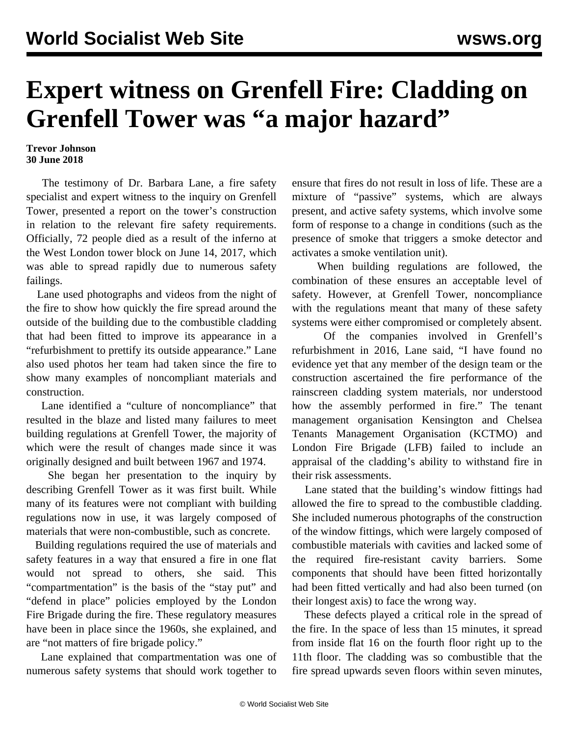## **Expert witness on Grenfell Fire: Cladding on Grenfell Tower was "a major hazard"**

## **Trevor Johnson 30 June 2018**

 The testimony of Dr. Barbara Lane, a fire safety specialist and expert witness to the inquiry on Grenfell Tower, presented a report on the tower's construction in relation to the relevant fire safety requirements. Officially, 72 people died as a result of the inferno at the West London tower block on June 14, 2017, which was able to spread rapidly due to numerous safety failings.

 Lane used photographs and videos from the night of the fire to show how quickly the fire spread around the outside of the building due to the combustible cladding that had been fitted to improve its appearance in a "refurbishment to prettify its outside appearance." Lane also used photos her team had taken since the fire to show many examples of noncompliant materials and construction.

 Lane identified a "culture of noncompliance" that resulted in the blaze and listed many failures to meet building regulations at Grenfell Tower, the majority of which were the result of changes made since it was originally designed and built between 1967 and 1974.

 She began her presentation to the inquiry by describing Grenfell Tower as it was first built. While many of its features were not compliant with building regulations now in use, it was largely composed of materials that were non-combustible, such as concrete.

 Building regulations required the use of materials and safety features in a way that ensured a fire in one flat would not spread to others, she said. This "compartmentation" is the basis of the "stay put" and "defend in place" policies employed by the London Fire Brigade during the fire. These regulatory measures have been in place since the 1960s, she explained, and are "not matters of fire brigade policy."

 Lane explained that compartmentation was one of numerous safety systems that should work together to

ensure that fires do not result in loss of life. These are a mixture of "passive" systems, which are always present, and active safety systems, which involve some form of response to a change in conditions (such as the presence of smoke that triggers a smoke detector and activates a smoke ventilation unit).

 When building regulations are followed, the combination of these ensures an acceptable level of safety. However, at Grenfell Tower, noncompliance with the regulations meant that many of these safety systems were either compromised or completely absent.

 Of the companies involved in Grenfell's refurbishment in 2016, Lane said, "I have found no evidence yet that any member of the design team or the construction ascertained the fire performance of the rainscreen cladding system materials, nor understood how the assembly performed in fire." The tenant management organisation Kensington and Chelsea Tenants Management Organisation (KCTMO) and London Fire Brigade (LFB) failed to include an appraisal of the cladding's ability to withstand fire in their risk assessments.

 Lane stated that the building's window fittings had allowed the fire to spread to the combustible cladding. She included numerous photographs of the construction of the window fittings, which were largely composed of combustible materials with cavities and lacked some of the required fire-resistant cavity barriers. Some components that should have been fitted horizontally had been fitted vertically and had also been turned (on their longest axis) to face the wrong way.

 These defects played a critical role in the spread of the fire. In the space of less than 15 minutes, it spread from inside flat 16 on the fourth floor right up to the 11th floor. The cladding was so combustible that the fire spread upwards seven floors within seven minutes,